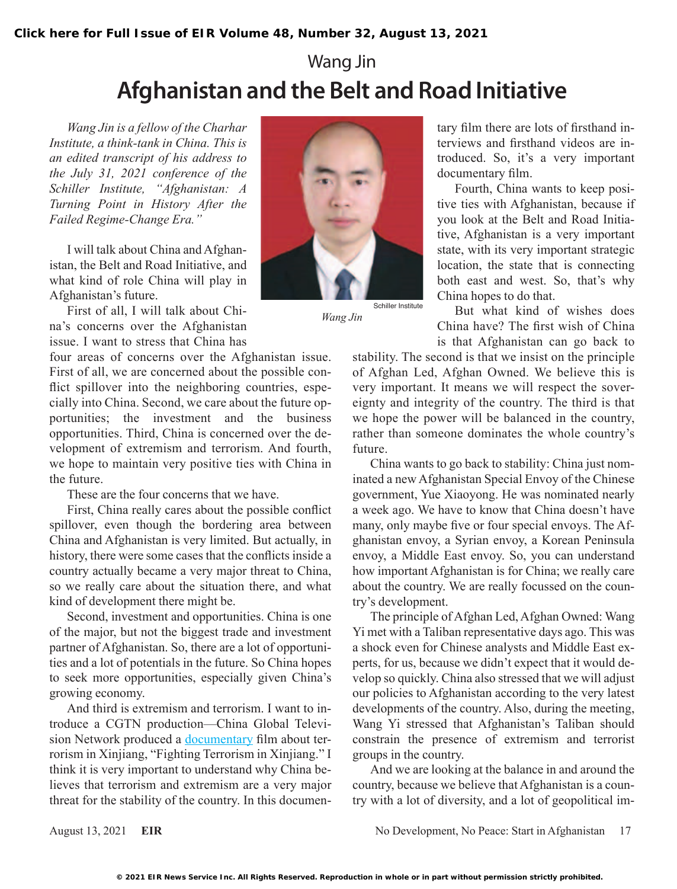## Wang Jin **Afghanistan and the Belt and Road Initiative**

*Wang Jin is a fellow of the Charhar Institute, a think-tank in China. This is an edited transcript of his address to the July 31, 2021 conference of the Schiller Institute, "Afghanistan: A Turning Point in History After the Failed Regime-Change Era."*

I will talk about China and Afghanistan, the Belt and Road Initiative, and what kind of role China will play in Afghanistan's future.

First of all, I will talk about China's concerns over the Afghanistan issue. I want to stress that China has

four areas of concerns over the Afghanistan issue. First of all, we are concerned about the possible conflict spillover into the neighboring countries, especially into China. Second, we care about the future opportunities; the investment and the business opportunities. Third, China is concerned over the development of extremism and terrorism. And fourth, we hope to maintain very positive ties with China in the future.

These are the four concerns that we have.

First, China really cares about the possible conflict spillover, even though the bordering area between China and Afghanistan is very limited. But actually, in history, there were some cases that the conflicts inside a country actually became a very major threat to China, so we really care about the situation there, and what kind of development there might be.

Second, investment and opportunities. China is one of the major, but not the biggest trade and investment partner of Afghanistan. So, there are a lot of opportunities and a lot of potentials in the future. So China hopes to seek more opportunities, especially given China's growing economy.

And third is extremism and terrorism. I want to introduce a CGTN production—China Global Television Network produced a [documentary](https://news.cgtn.com/news/2019-12-05/Fighting-terrorism-in-Xinjiang-MaNLLDtnfq/index.html) film about terrorism in Xinjiang, "Fighting Terrorism in Xinjiang." I think it is very important to understand why China believes that terrorism and extremism are a very major threat for the stability of the country. In this documen-



*Wang Jin*

tary film there are lots of firsthand interviews and firsthand videos are introduced. So, it's a very important documentary film.

Fourth, China wants to keep positive ties with Afghanistan, because if you look at the Belt and Road Initiative, Afghanistan is a very important state, with its very important strategic location, the state that is connecting both east and west. So, that's why China hopes to do that.

But what kind of wishes does China have? The first wish of China is that Afghanistan can go back to

stability. The second is that we insist on the principle of Afghan Led, Afghan Owned. We believe this is very important. It means we will respect the sovereignty and integrity of the country. The third is that we hope the power will be balanced in the country, rather than someone dominates the whole country's future.

China wants to go back to stability: China just nominated a new Afghanistan Special Envoy of the Chinese government, Yue Xiaoyong. He was nominated nearly a week ago. We have to know that China doesn't have many, only maybe five or four special envoys. The Afghanistan envoy, a Syrian envoy, a Korean Peninsula envoy, a Middle East envoy. So, you can understand how important Afghanistan is for China; we really care about the country. We are really focussed on the country's development.

The principle of Afghan Led, Afghan Owned: Wang Yi met with a Taliban representative days ago. This was a shock even for Chinese analysts and Middle East experts, for us, because we didn't expect that it would develop so quickly. China also stressed that we will adjust our policies to Afghanistan according to the very latest developments of the country. Also, during the meeting, Wang Yi stressed that Afghanistan's Taliban should constrain the presence of extremism and terrorist groups in the country.

And we are looking at the balance in and around the country, because we believe that Afghanistan is a country with a lot of diversity, and a lot of geopolitical im-

August 13, 2021 **EIR EIR** No Development, No Peace: Start in Afghanistan 17